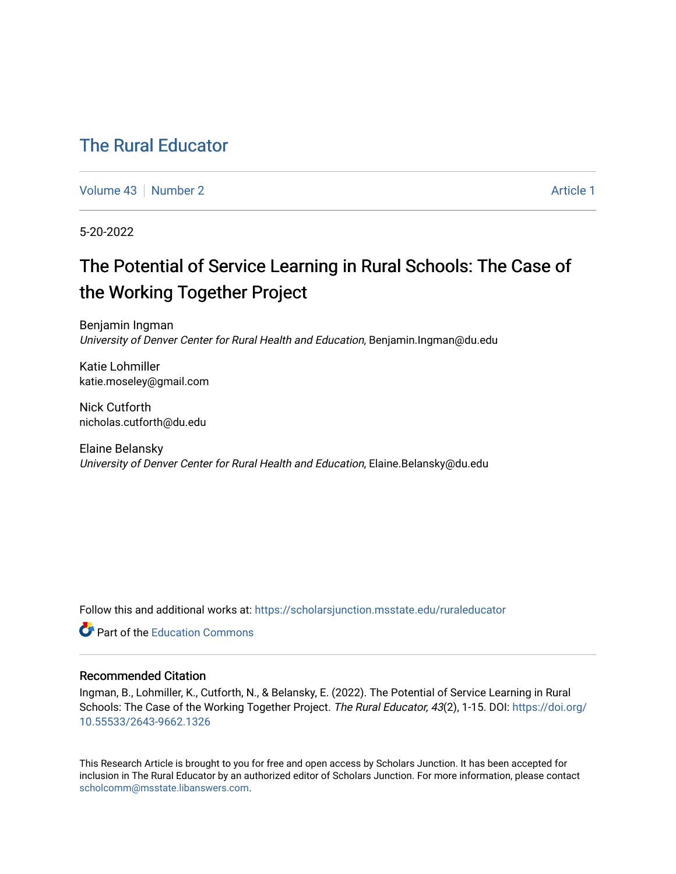## [The Rural Educator](https://scholarsjunction.msstate.edu/ruraleducator)

[Volume 43](https://scholarsjunction.msstate.edu/ruraleducator/vol43) [Number 2](https://scholarsjunction.msstate.edu/ruraleducator/vol43/iss2) Article 1

5-20-2022

# The Potential of Service Learning in Rural Schools: The Case of the Working Together Project

Benjamin Ingman University of Denver Center for Rural Health and Education, Benjamin.Ingman@du.edu

Katie Lohmiller katie.moseley@gmail.com

Nick Cutforth nicholas.cutforth@du.edu

Elaine Belansky University of Denver Center for Rural Health and Education, Elaine.Belansky@du.edu

Follow this and additional works at: [https://scholarsjunction.msstate.edu/ruraleducator](https://scholarsjunction.msstate.edu/ruraleducator?utm_source=scholarsjunction.msstate.edu%2Fruraleducator%2Fvol43%2Fiss2%2F1&utm_medium=PDF&utm_campaign=PDFCoverPages)

**C** Part of the [Education Commons](https://network.bepress.com/hgg/discipline/784?utm_source=scholarsjunction.msstate.edu%2Fruraleducator%2Fvol43%2Fiss2%2F1&utm_medium=PDF&utm_campaign=PDFCoverPages)

### Recommended Citation

Ingman, B., Lohmiller, K., Cutforth, N., & Belansky, E. (2022). The Potential of Service Learning in Rural Schools: The Case of the Working Together Project. The Rural Educator, 43(2), 1-15. DOI: [https://doi.org/](https://doi.org/10.55533/2643-9662.1326) [10.55533/2643-9662.1326](https://doi.org/10.55533/2643-9662.1326) 

This Research Article is brought to you for free and open access by Scholars Junction. It has been accepted for inclusion in The Rural Educator by an authorized editor of Scholars Junction. For more information, please contact [scholcomm@msstate.libanswers.com.](mailto:scholcomm@msstate.libanswers.com)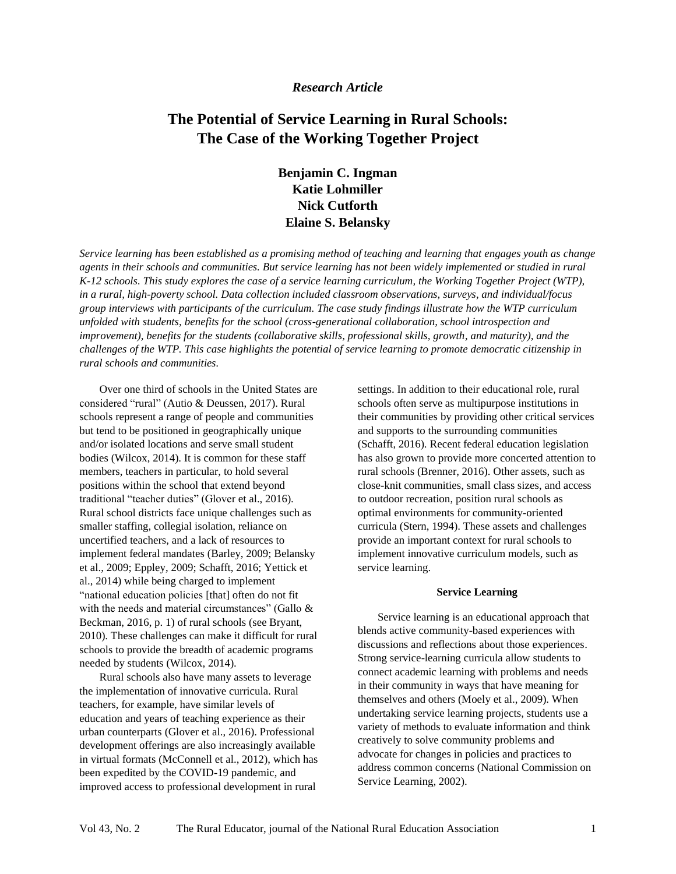#### *Research Article*

## **The Potential of Service Learning in Rural Schools: The Case of the Working Together Project**

## **Benjamin C. Ingman Katie Lohmiller Nick Cutforth Elaine S. Belansky**

*Service learning has been established as a promising method of teaching and learning that engages youth as change agents in their schools and communities. But service learning has not been widely implemented or studied in rural K-12 schools. This study explores the case of a service learning curriculum, the Working Together Project (WTP), in a rural, high-poverty school. Data collection included classroom observations, surveys, and individual/focus group interviews with participants of the curriculum. The case study findings illustrate how the WTP curriculum unfolded with students, benefits for the school (cross-generational collaboration, school introspection and improvement), benefits for the students (collaborative skills, professional skills, growth, and maturity), and the challenges of the WTP. This case highlights the potential of service learning to promote democratic citizenship in rural schools and communities.* 

Over one third of schools in the United States are considered "rural" (Autio & Deussen, 2017). Rural schools represent a range of people and communities but tend to be positioned in geographically unique and/or isolated locations and serve small student bodies (Wilcox, 2014). It is common for these staff members, teachers in particular, to hold several positions within the school that extend beyond traditional "teacher duties" (Glover et al., 2016). Rural school districts face unique challenges such as smaller staffing, collegial isolation, reliance on uncertified teachers, and a lack of resources to implement federal mandates (Barley, 2009; Belansky et al., 2009; Eppley, 2009; Schafft, 2016; Yettick et al., 2014) while being charged to implement "national education policies [that] often do not fit with the needs and material circumstances" (Gallo & Beckman, 2016, p. 1) of rural schools (see Bryant, 2010). These challenges can make it difficult for rural schools to provide the breadth of academic programs needed by students (Wilcox, 2014).

Rural schools also have many assets to leverage the implementation of innovative curricula. Rural teachers, for example, have similar levels of education and years of teaching experience as their urban counterparts (Glover et al., 2016). Professional development offerings are also increasingly available in virtual formats (McConnell et al., 2012), which has been expedited by the COVID-19 pandemic, and improved access to professional development in rural

settings. In addition to their educational role, rural schools often serve as multipurpose institutions in their communities by providing other critical services and supports to the surrounding communities (Schafft, 2016). Recent federal education legislation has also grown to provide more concerted attention to rural schools (Brenner, 2016). Other assets, such as close-knit communities, small class sizes, and access to outdoor recreation, position rural schools as optimal environments for community-oriented curricula (Stern, 1994). These assets and challenges provide an important context for rural schools to implement innovative curriculum models, such as service learning.

#### **Service Learning**

Service learning is an educational approach that blends active community-based experiences with discussions and reflections about those experiences. Strong service-learning curricula allow students to connect academic learning with problems and needs in their community in ways that have meaning for themselves and others (Moely et al., 2009). When undertaking service learning projects, students use a variety of methods to evaluate information and think creatively to solve community problems and advocate for changes in policies and practices to address common concerns (National Commission on Service Learning, 2002).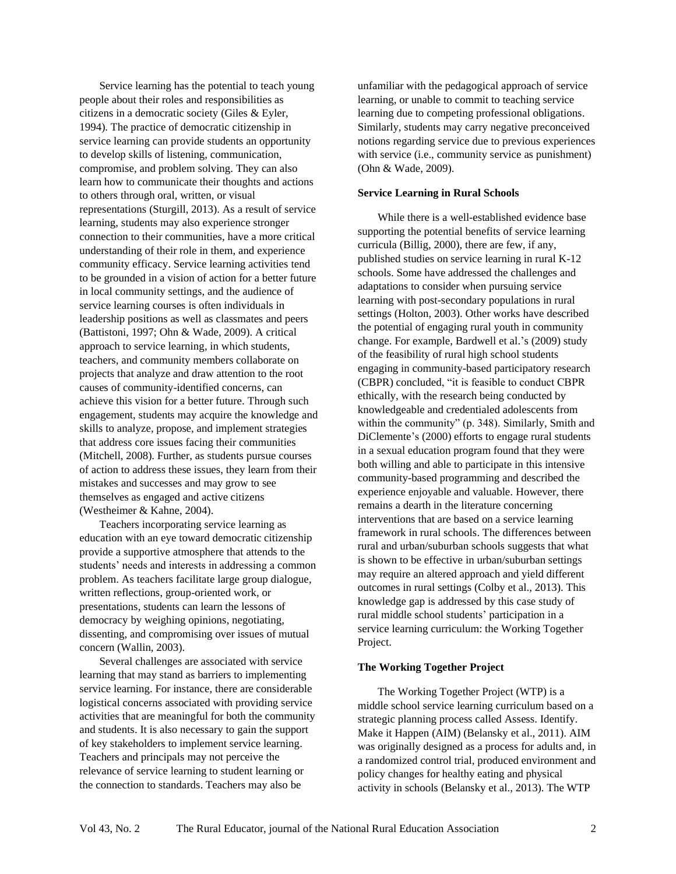Service learning has the potential to teach young people about their roles and responsibilities as citizens in a democratic society (Giles & Eyler, 1994). The practice of democratic citizenship in service learning can provide students an opportunity to develop skills of listening, communication, compromise, and problem solving. They can also learn how to communicate their thoughts and actions to others through oral, written, or visual representations (Sturgill, 2013). As a result of service learning, students may also experience stronger connection to their communities, have a more critical understanding of their role in them, and experience community efficacy. Service learning activities tend to be grounded in a vision of action for a better future in local community settings, and the audience of service learning courses is often individuals in leadership positions as well as classmates and peers (Battistoni, 1997; Ohn & Wade, 2009). A critical approach to service learning, in which students, teachers, and community members collaborate on projects that analyze and draw attention to the root causes of community-identified concerns, can achieve this vision for a better future. Through such engagement, students may acquire the knowledge and skills to analyze, propose, and implement strategies that address core issues facing their communities (Mitchell, 2008). Further, as students pursue courses of action to address these issues, they learn from their mistakes and successes and may grow to see themselves as engaged and active citizens (Westheimer & Kahne, 2004).

Teachers incorporating service learning as education with an eye toward democratic citizenship provide a supportive atmosphere that attends to the students' needs and interests in addressing a common problem. As teachers facilitate large group dialogue, written reflections, group-oriented work, or presentations, students can learn the lessons of democracy by weighing opinions, negotiating, dissenting, and compromising over issues of mutual concern (Wallin, 2003).

Several challenges are associated with service learning that may stand as barriers to implementing service learning. For instance, there are considerable logistical concerns associated with providing service activities that are meaningful for both the community and students. It is also necessary to gain the support of key stakeholders to implement service learning. Teachers and principals may not perceive the relevance of service learning to student learning or the connection to standards. Teachers may also be

unfamiliar with the pedagogical approach of service learning, or unable to commit to teaching service learning due to competing professional obligations. Similarly, students may carry negative preconceived notions regarding service due to previous experiences with service (i.e., community service as punishment) (Ohn & Wade, 2009).

#### **Service Learning in Rural Schools**

While there is a well-established evidence base supporting the potential benefits of service learning curricula (Billig, 2000), there are few, if any, published studies on service learning in rural K-12 schools. Some have addressed the challenges and adaptations to consider when pursuing service learning with post-secondary populations in rural settings (Holton, 2003). Other works have described the potential of engaging rural youth in community change. For example, Bardwell et al.'s (2009) study of the feasibility of rural high school students engaging in community-based participatory research (CBPR) concluded, "it is feasible to conduct CBPR ethically, with the research being conducted by knowledgeable and credentialed adolescents from within the community" (p. 348). Similarly, Smith and DiClemente's (2000) efforts to engage rural students in a sexual education program found that they were both willing and able to participate in this intensive community-based programming and described the experience enjoyable and valuable. However, there remains a dearth in the literature concerning interventions that are based on a service learning framework in rural schools. The differences between rural and urban/suburban schools suggests that what is shown to be effective in urban/suburban settings may require an altered approach and yield different outcomes in rural settings (Colby et al., 2013). This knowledge gap is addressed by this case study of rural middle school students' participation in a service learning curriculum: the Working Together Project.

#### **The Working Together Project**

The Working Together Project (WTP) is a middle school service learning curriculum based on a strategic planning process called Assess. Identify. Make it Happen (AIM) (Belansky et al., 2011). AIM was originally designed as a process for adults and, in a randomized control trial, produced environment and policy changes for healthy eating and physical activity in schools (Belansky et al., 2013). The WTP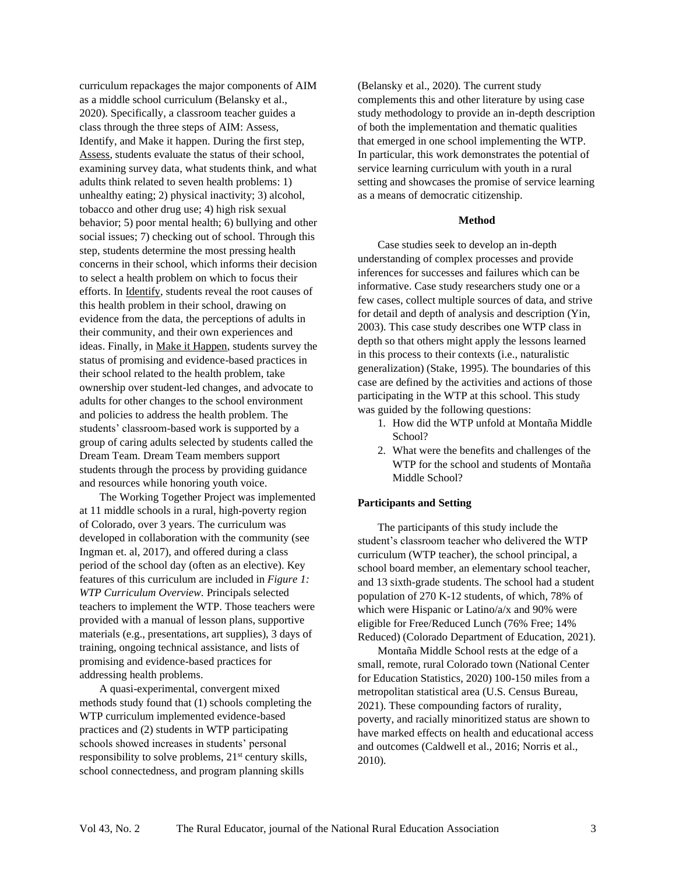curriculum repackages the major components of AIM as a middle school curriculum (Belansky et al., 2020). Specifically, a classroom teacher guides a class through the three steps of AIM: Assess, Identify, and Make it happen. During the first step, Assess, students evaluate the status of their school, examining survey data, what students think, and what adults think related to seven health problems: 1) unhealthy eating; 2) physical inactivity; 3) alcohol, tobacco and other drug use; 4) high risk sexual behavior; 5) poor mental health; 6) bullying and other social issues; 7) checking out of school. Through this step, students determine the most pressing health concerns in their school, which informs their decision to select a health problem on which to focus their efforts. In Identify, students reveal the root causes of this health problem in their school, drawing on evidence from the data, the perceptions of adults in their community, and their own experiences and ideas. Finally, in Make it Happen, students survey the status of promising and evidence-based practices in their school related to the health problem, take ownership over student-led changes, and advocate to adults for other changes to the school environment and policies to address the health problem. The students' classroom-based work is supported by a group of caring adults selected by students called the Dream Team. Dream Team members support students through the process by providing guidance and resources while honoring youth voice.

The Working Together Project was implemented at 11 middle schools in a rural, high-poverty region of Colorado, over 3 years. The curriculum was developed in collaboration with the community (see Ingman et. al, 2017), and offered during a class period of the school day (often as an elective). Key features of this curriculum are included in *Figure 1: WTP Curriculum Overview.* Principals selected teachers to implement the WTP. Those teachers were provided with a manual of lesson plans, supportive materials (e.g., presentations, art supplies), 3 days of training, ongoing technical assistance, and lists of promising and evidence-based practices for addressing health problems.

A quasi-experimental, convergent mixed methods study found that (1) schools completing the WTP curriculum implemented evidence-based practices and (2) students in WTP participating schools showed increases in students' personal responsibility to solve problems, 21<sup>st</sup> century skills, school connectedness, and program planning skills

(Belansky et al., 2020). The current study complements this and other literature by using case study methodology to provide an in-depth description of both the implementation and thematic qualities that emerged in one school implementing the WTP. In particular, this work demonstrates the potential of service learning curriculum with youth in a rural setting and showcases the promise of service learning as a means of democratic citizenship.

#### **Method**

Case studies seek to develop an in-depth understanding of complex processes and provide inferences for successes and failures which can be informative. Case study researchers study one or a few cases, collect multiple sources of data, and strive for detail and depth of analysis and description (Yin, 2003). This case study describes one WTP class in depth so that others might apply the lessons learned in this process to their contexts (i.e., naturalistic generalization) (Stake, 1995). The boundaries of this case are defined by the activities and actions of those participating in the WTP at this school. This study was guided by the following questions:

- 1. How did the WTP unfold at Montaña Middle School?
- 2. What were the benefits and challenges of the WTP for the school and students of Montaña Middle School?

#### **Participants and Setting**

The participants of this study include the student's classroom teacher who delivered the WTP curriculum (WTP teacher), the school principal, a school board member, an elementary school teacher, and 13 sixth-grade students. The school had a student population of 270 K-12 students, of which, 78% of which were Hispanic or Latino/a/x and 90% were eligible for Free/Reduced Lunch (76% Free; 14% Reduced) (Colorado Department of Education, 2021).

Montaña Middle School rests at the edge of a small, remote, rural Colorado town (National Center for Education Statistics, 2020) 100-150 miles from a metropolitan statistical area (U.S. Census Bureau, 2021). These compounding factors of rurality, poverty, and racially minoritized status are shown to have marked effects on health and educational access and outcomes (Caldwell et al., 2016; Norris et al., 2010).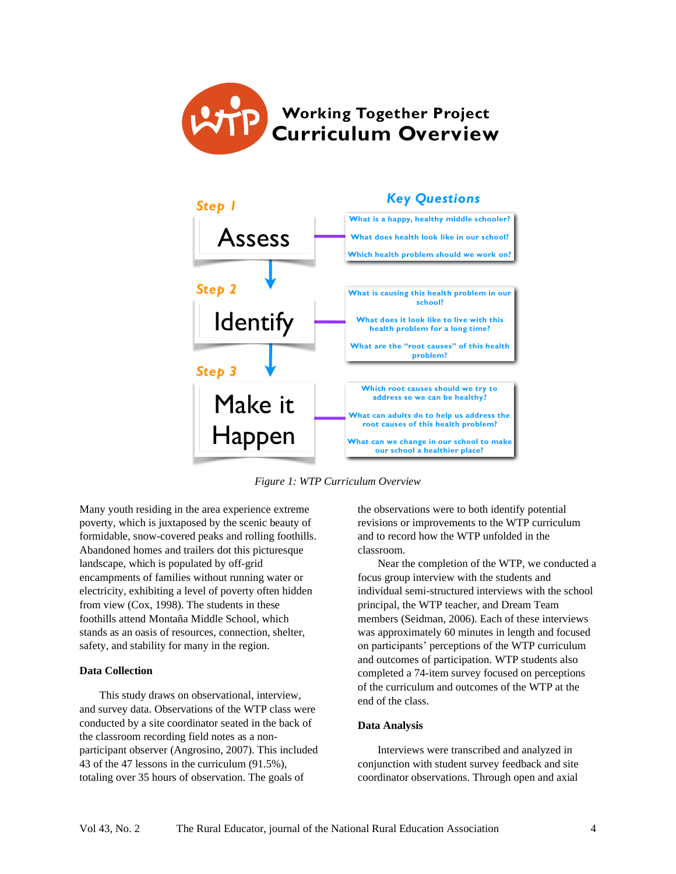



*Figure 1: WTP Curriculum Overview*

Many youth residing in the area experience extreme poverty, which is juxtaposed by the scenic beauty of formidable, snow-covered peaks and rolling foothills. Abandoned homes and trailers dot this picturesque landscape, which is populated by off-grid encampments of families without running water or electricity, exhibiting a level of poverty often hidden from view (Cox, 1998). The students in these foothills attend Montaña Middle School, which stands as an oasis of resources, connection, shelter, safety, and stability for many in the region.

#### **Data Collection**

This study draws on observational, interview, and survey data. Observations of the WTP class were conducted by a site coordinator seated in the back of the classroom recording field notes as a nonparticipant observer (Angrosino, 2007). This included 43 of the 47 lessons in the curriculum (91.5%), totaling over 35 hours of observation. The goals of

the observations were to both identify potential revisions or improvements to the WTP curriculum and to record how the WTP unfolded in the classroom.

Near the completion of the WTP, we conducted a focus group interview with the students and individual semi-structured interviews with the school principal, the WTP teacher, and Dream Team members (Seidman, 2006). Each of these interviews was approximately 60 minutes in length and focused on participants' perceptions of the WTP curriculum and outcomes of participation. WTP students also completed a 74-item survey focused on perceptions of the curriculum and outcomes of the WTP at the end of the class.

#### **Data Analysis**

Interviews were transcribed and analyzed in conjunction with student survey feedback and site coordinator observations. Through open and axial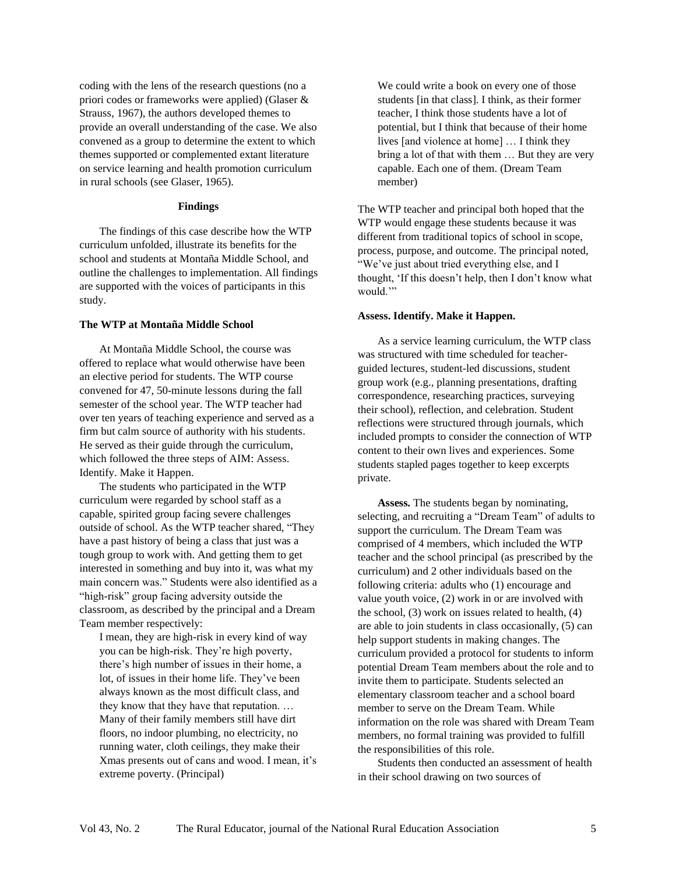coding with the lens of the research questions (no a priori codes or frameworks were applied) (Glaser & Strauss, 1967), the authors developed themes to provide an overall understanding of the case. We also convened as a group to determine the extent to which themes supported or complemented extant literature on service learning and health promotion curriculum in rural schools (see Glaser, 1965).

#### **Findings**

The findings of this case describe how the WTP curriculum unfolded, illustrate its benefits for the school and students at Montaña Middle School, and outline the challenges to implementation. All findings are supported with the voices of participants in this study.

#### **The WTP at Montaña Middle School**

At Montaña Middle School, the course was offered to replace what would otherwise have been an elective period for students. The WTP course convened for 47, 50-minute lessons during the fall semester of the school year. The WTP teacher had over ten years of teaching experience and served as a firm but calm source of authority with his students. He served as their guide through the curriculum, which followed the three steps of AIM: Assess. Identify. Make it Happen.

The students who participated in the WTP curriculum were regarded by school staff as a capable, spirited group facing severe challenges outside of school. As the WTP teacher shared, "They have a past history of being a class that just was a tough group to work with. And getting them to get interested in something and buy into it, was what my main concern was." Students were also identified as a "high-risk" group facing adversity outside the classroom, as described by the principal and a Dream Team member respectively:

I mean, they are high-risk in every kind of way you can be high-risk. They're high poverty, there's high number of issues in their home, a lot, of issues in their home life. They've been always known as the most difficult class, and they know that they have that reputation. … Many of their family members still have dirt floors, no indoor plumbing, no electricity, no running water, cloth ceilings, they make their Xmas presents out of cans and wood. I mean, it's extreme poverty. (Principal)

We could write a book on every one of those students [in that class]. I think, as their former teacher, I think those students have a lot of potential, but I think that because of their home lives [and violence at home] … I think they bring a lot of that with them … But they are very capable. Each one of them. (Dream Team member)

The WTP teacher and principal both hoped that the WTP would engage these students because it was different from traditional topics of school in scope, process, purpose, and outcome. The principal noted, "We've just about tried everything else, and I thought, 'If this doesn't help, then I don't know what would."

#### **Assess. Identify. Make it Happen.**

As a service learning curriculum, the WTP class was structured with time scheduled for teacherguided lectures, student-led discussions, student group work (e.g., planning presentations, drafting correspondence, researching practices, surveying their school), reflection, and celebration. Student reflections were structured through journals, which included prompts to consider the connection of WTP content to their own lives and experiences. Some students stapled pages together to keep excerpts private.

**Assess***.* The students began by nominating, selecting, and recruiting a "Dream Team" of adults to support the curriculum. The Dream Team was comprised of 4 members, which included the WTP teacher and the school principal (as prescribed by the curriculum) and 2 other individuals based on the following criteria: adults who (1) encourage and value youth voice, (2) work in or are involved with the school, (3) work on issues related to health, (4) are able to join students in class occasionally, (5) can help support students in making changes. The curriculum provided a protocol for students to inform potential Dream Team members about the role and to invite them to participate. Students selected an elementary classroom teacher and a school board member to serve on the Dream Team. While information on the role was shared with Dream Team members, no formal training was provided to fulfill the responsibilities of this role.

Students then conducted an assessment of health in their school drawing on two sources of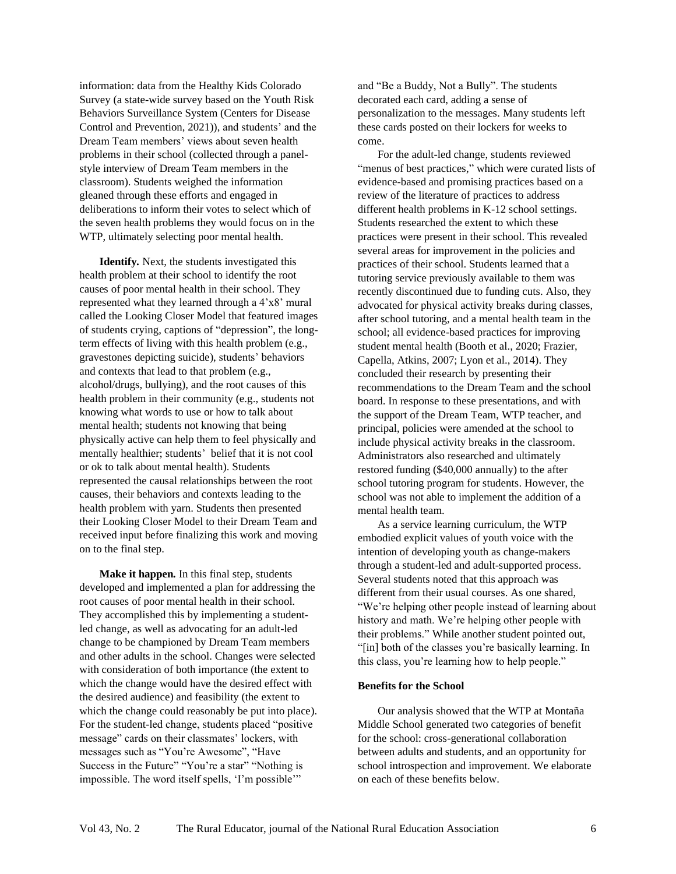information: data from the Healthy Kids Colorado Survey (a state-wide survey based on the Youth Risk Behaviors Surveillance System (Centers for Disease Control and Prevention, 2021)), and students' and the Dream Team members' views about seven health problems in their school (collected through a panelstyle interview of Dream Team members in the classroom). Students weighed the information gleaned through these efforts and engaged in deliberations to inform their votes to select which of the seven health problems they would focus on in the WTP, ultimately selecting poor mental health.

**Identify***.* Next, the students investigated this health problem at their school to identify the root causes of poor mental health in their school. They represented what they learned through a 4'x8' mural called the Looking Closer Model that featured images of students crying, captions of "depression", the longterm effects of living with this health problem (e.g., gravestones depicting suicide), students' behaviors and contexts that lead to that problem (e.g., alcohol/drugs, bullying), and the root causes of this health problem in their community (e.g., students not knowing what words to use or how to talk about mental health; students not knowing that being physically active can help them to feel physically and mentally healthier; students' belief that it is not cool or ok to talk about mental health). Students represented the causal relationships between the root causes, their behaviors and contexts leading to the health problem with yarn. Students then presented their Looking Closer Model to their Dream Team and received input before finalizing this work and moving on to the final step.

**Make it happen***.* In this final step, students developed and implemented a plan for addressing the root causes of poor mental health in their school. They accomplished this by implementing a studentled change, as well as advocating for an adult-led change to be championed by Dream Team members and other adults in the school. Changes were selected with consideration of both importance (the extent to which the change would have the desired effect with the desired audience) and feasibility (the extent to which the change could reasonably be put into place). For the student-led change, students placed "positive message" cards on their classmates' lockers, with messages such as "You're Awesome", "Have Success in the Future" "You're a star" "Nothing is impossible. The word itself spells, 'I'm possible'"

and "Be a Buddy, Not a Bully". The students decorated each card, adding a sense of personalization to the messages. Many students left these cards posted on their lockers for weeks to come.

For the adult-led change, students reviewed "menus of best practices," which were curated lists of evidence-based and promising practices based on a review of the literature of practices to address different health problems in K-12 school settings. Students researched the extent to which these practices were present in their school. This revealed several areas for improvement in the policies and practices of their school. Students learned that a tutoring service previously available to them was recently discontinued due to funding cuts. Also, they advocated for physical activity breaks during classes, after school tutoring, and a mental health team in the school; all evidence-based practices for improving student mental health (Booth et al., 2020; Frazier, Capella, Atkins, 2007; Lyon et al., 2014). They concluded their research by presenting their recommendations to the Dream Team and the school board. In response to these presentations, and with the support of the Dream Team, WTP teacher, and principal, policies were amended at the school to include physical activity breaks in the classroom. Administrators also researched and ultimately restored funding (\$40,000 annually) to the after school tutoring program for students. However, the school was not able to implement the addition of a mental health team.

As a service learning curriculum, the WTP embodied explicit values of youth voice with the intention of developing youth as change-makers through a student-led and adult-supported process. Several students noted that this approach was different from their usual courses. As one shared, "We're helping other people instead of learning about history and math. We're helping other people with their problems." While another student pointed out, "[in] both of the classes you're basically learning. In this class, you're learning how to help people."

#### **Benefits for the School**

Our analysis showed that the WTP at Montaña Middle School generated two categories of benefit for the school: cross-generational collaboration between adults and students, and an opportunity for school introspection and improvement. We elaborate on each of these benefits below.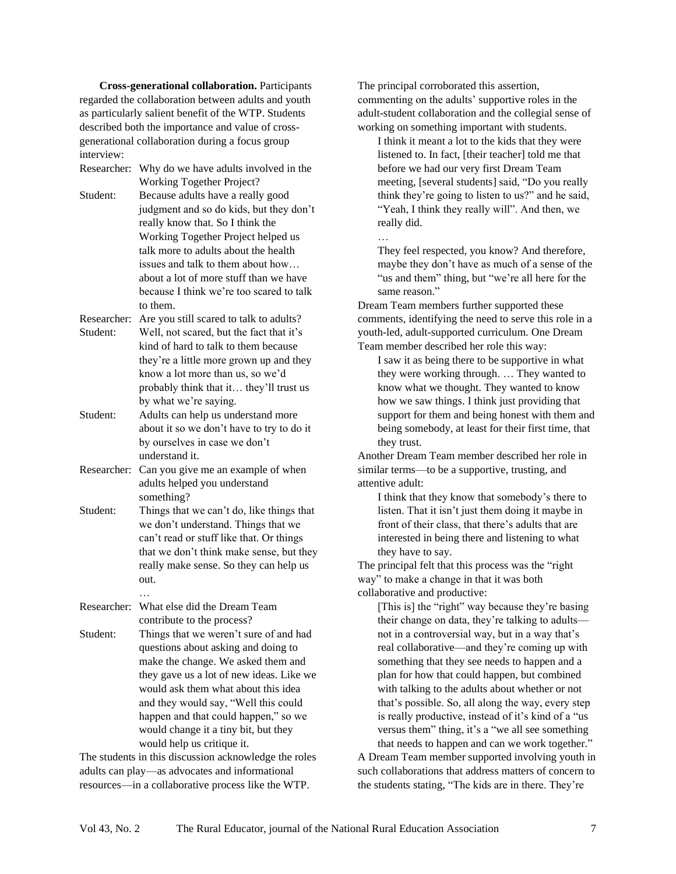**Cross-generational collaboration.** Participants regarded the collaboration between adults and youth as particularly salient benefit of the WTP. Students described both the importance and value of crossgenerational collaboration during a focus group interview:

| Researcher: | Why do we have adults involved in the     |
|-------------|-------------------------------------------|
|             | Working Together Project?                 |
| Student:    | Because adults have a really good         |
|             | judgment and so do kids, but they don't   |
|             | really know that. So I think the          |
|             | Working Together Project helped us        |
|             | talk more to adults about the health      |
|             | issues and talk to them about how         |
|             | about a lot of more stuff than we have    |
|             | because I think we're too scared to talk  |
|             | to them.                                  |
| Researcher: | Are you still scared to talk to adults?   |
| Student:    | Well, not scared, but the fact that it's  |
|             | kind of hard to talk to them because      |
|             | they're a little more grown up and they   |
|             | know a lot more than us, so we'd          |
|             | probably think that it they'll trust us   |
|             | by what we're saying.                     |
| Student:    | Adults can help us understand more        |
|             | about it so we don't have to try to do it |
|             | by ourselves in case we don't             |
|             | understand it.                            |
| Researcher: | Can you give me an example of when        |
|             | adults helped you understand              |
|             | something?                                |
| Student:    | Things that we can't do, like things that |
|             | we don't understand. Things that we       |
|             | can't read or stuff like that. Or things  |
|             |                                           |
|             | that we don't think make sense, but they  |
|             | really make sense. So they can help us    |
|             | out.                                      |
| Researcher: | What else did the Dream Team              |
|             | contribute to the process?                |
| Student:    | Things that we weren't sure of and had    |
|             | questions about asking and doing to       |
|             | make the change. We asked them and        |
|             | they gave us a lot of new ideas. Like we  |
|             | would ask them what about this idea       |
|             | and they would say, "Well this could      |
|             | happen and that could happen," so we      |
|             | would change it a tiny bit, but they      |
|             |                                           |
|             | would help us critique it.                |

The students in this discussion acknowledge the roles adults can play—as advocates and informational resources—in a collaborative process like the WTP.

The principal corroborated this assertion, commenting on the adults' supportive roles in the adult-student collaboration and the collegial sense of working on something important with students.

I think it meant a lot to the kids that they were listened to. In fact, [their teacher] told me that before we had our very first Dream Team meeting, [several students] said, "Do you really think they're going to listen to us?" and he said, "Yeah, I think they really will". And then, we really did.

… They feel respected, you know? And therefore, maybe they don't have as much of a sense of the "us and them" thing, but "we're all here for the same reason."

Dream Team members further supported these comments, identifying the need to serve this role in a youth-led, adult-supported curriculum. One Dream Team member described her role this way:

I saw it as being there to be supportive in what they were working through. … They wanted to know what we thought. They wanted to know how we saw things. I think just providing that support for them and being honest with them and being somebody, at least for their first time, that they trust.

Another Dream Team member described her role in similar terms—to be a supportive, trusting, and attentive adult:

I think that they know that somebody's there to listen. That it isn't just them doing it maybe in front of their class, that there's adults that are interested in being there and listening to what they have to say.

The principal felt that this process was the "right way" to make a change in that it was both collaborative and productive:

[This is] the "right" way because they're basing their change on data, they're talking to adults not in a controversial way, but in a way that's real collaborative—and they're coming up with something that they see needs to happen and a plan for how that could happen, but combined with talking to the adults about whether or not that's possible. So, all along the way, every step is really productive, instead of it's kind of a "us versus them" thing, it's a "we all see something that needs to happen and can we work together."

A Dream Team member supported involving youth in such collaborations that address matters of concern to the students stating, "The kids are in there. They're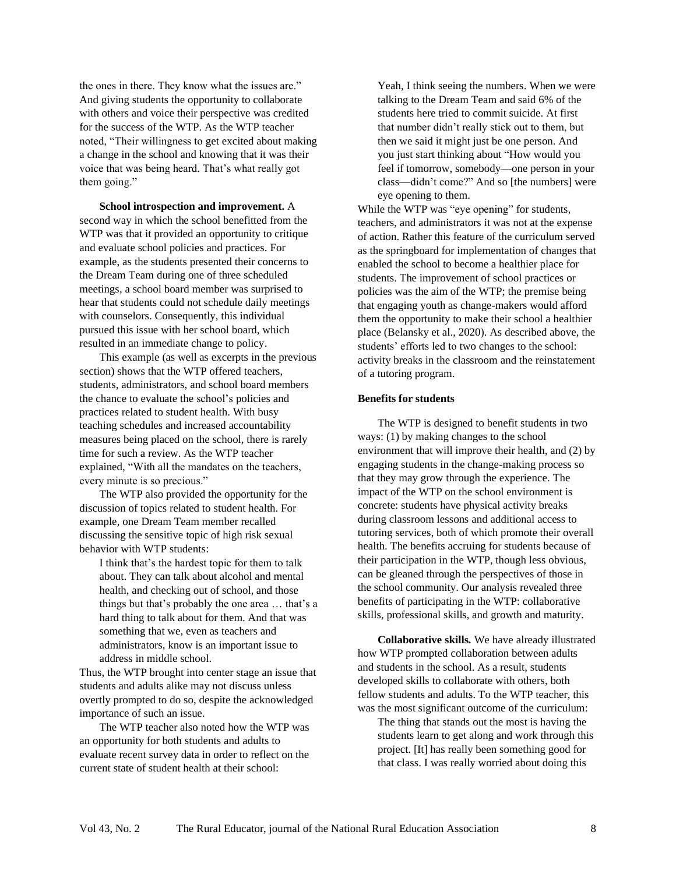the ones in there. They know what the issues are." And giving students the opportunity to collaborate with others and voice their perspective was credited for the success of the WTP. As the WTP teacher noted, "Their willingness to get excited about making a change in the school and knowing that it was their voice that was being heard. That's what really got them going."

**School introspection and improvement.** A second way in which the school benefitted from the WTP was that it provided an opportunity to critique and evaluate school policies and practices. For example, as the students presented their concerns to the Dream Team during one of three scheduled meetings, a school board member was surprised to hear that students could not schedule daily meetings with counselors. Consequently, this individual pursued this issue with her school board, which resulted in an immediate change to policy.

This example (as well as excerpts in the previous section) shows that the WTP offered teachers, students, administrators, and school board members the chance to evaluate the school's policies and practices related to student health. With busy teaching schedules and increased accountability measures being placed on the school, there is rarely time for such a review. As the WTP teacher explained, "With all the mandates on the teachers, every minute is so precious."

The WTP also provided the opportunity for the discussion of topics related to student health. For example, one Dream Team member recalled discussing the sensitive topic of high risk sexual behavior with WTP students:

I think that's the hardest topic for them to talk about. They can talk about alcohol and mental health, and checking out of school, and those things but that's probably the one area … that's a hard thing to talk about for them. And that was something that we, even as teachers and administrators, know is an important issue to address in middle school.

Thus, the WTP brought into center stage an issue that students and adults alike may not discuss unless overtly prompted to do so, despite the acknowledged importance of such an issue.

The WTP teacher also noted how the WTP was an opportunity for both students and adults to evaluate recent survey data in order to reflect on the current state of student health at their school:

Yeah, I think seeing the numbers. When we were talking to the Dream Team and said 6% of the students here tried to commit suicide. At first that number didn't really stick out to them, but then we said it might just be one person. And you just start thinking about "How would you feel if tomorrow, somebody—one person in your class—didn't come?" And so [the numbers] were eye opening to them.

While the WTP was "eye opening" for students, teachers, and administrators it was not at the expense of action. Rather this feature of the curriculum served as the springboard for implementation of changes that enabled the school to become a healthier place for students. The improvement of school practices or policies was the aim of the WTP; the premise being that engaging youth as change-makers would afford them the opportunity to make their school a healthier place (Belansky et al., 2020). As described above, the students' efforts led to two changes to the school: activity breaks in the classroom and the reinstatement of a tutoring program.

#### **Benefits for students**

The WTP is designed to benefit students in two ways: (1) by making changes to the school environment that will improve their health, and (2) by engaging students in the change-making process so that they may grow through the experience. The impact of the WTP on the school environment is concrete: students have physical activity breaks during classroom lessons and additional access to tutoring services, both of which promote their overall health. The benefits accruing for students because of their participation in the WTP, though less obvious, can be gleaned through the perspectives of those in the school community. Our analysis revealed three benefits of participating in the WTP: collaborative skills, professional skills, and growth and maturity.

**Collaborative skills***.* We have already illustrated how WTP prompted collaboration between adults and students in the school. As a result, students developed skills to collaborate with others, both fellow students and adults. To the WTP teacher, this was the most significant outcome of the curriculum:

The thing that stands out the most is having the students learn to get along and work through this project. [It] has really been something good for that class. I was really worried about doing this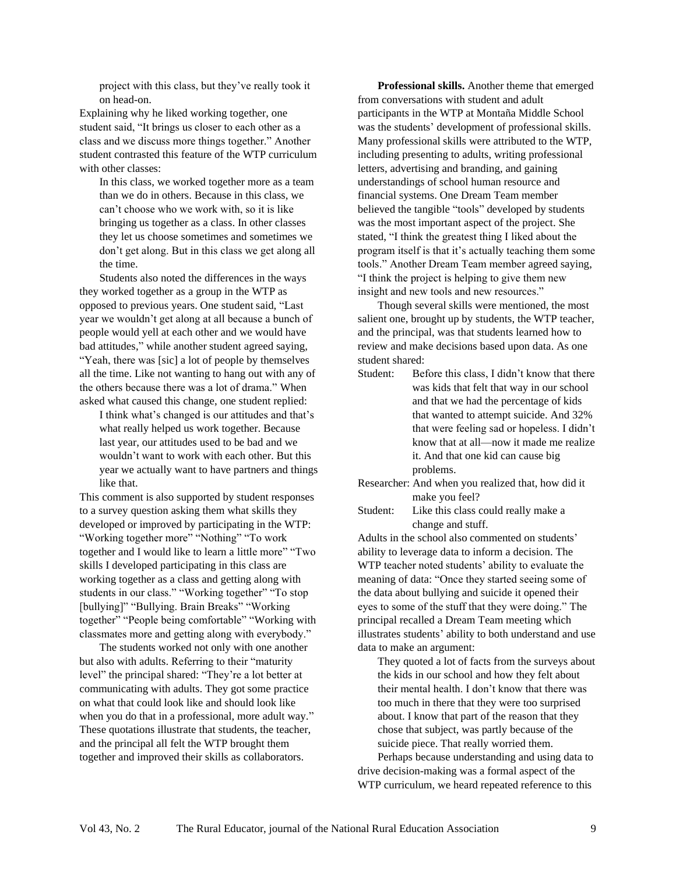project with this class, but they've really took it on head-on.

Explaining why he liked working together, one student said, "It brings us closer to each other as a class and we discuss more things together." Another student contrasted this feature of the WTP curriculum with other classes:

In this class, we worked together more as a team than we do in others. Because in this class, we can't choose who we work with, so it is like bringing us together as a class. In other classes they let us choose sometimes and sometimes we don't get along. But in this class we get along all the time.

Students also noted the differences in the ways they worked together as a group in the WTP as opposed to previous years. One student said, "Last year we wouldn't get along at all because a bunch of people would yell at each other and we would have bad attitudes," while another student agreed saying, "Yeah, there was [sic] a lot of people by themselves all the time. Like not wanting to hang out with any of the others because there was a lot of drama." When asked what caused this change, one student replied:

I think what's changed is our attitudes and that's what really helped us work together. Because last year, our attitudes used to be bad and we wouldn't want to work with each other. But this year we actually want to have partners and things like that.

This comment is also supported by student responses to a survey question asking them what skills they developed or improved by participating in the WTP: "Working together more" "Nothing" "To work" together and I would like to learn a little more" "Two skills I developed participating in this class are working together as a class and getting along with students in our class." "Working together" "To stop [bullying]" "Bullying. Brain Breaks" "Working together" "People being comfortable" "Working with classmates more and getting along with everybody."

The students worked not only with one another but also with adults. Referring to their "maturity level" the principal shared: "They're a lot better at communicating with adults. They got some practice on what that could look like and should look like when you do that in a professional, more adult way." These quotations illustrate that students, the teacher, and the principal all felt the WTP brought them together and improved their skills as collaborators.

**Professional skills.** Another theme that emerged from conversations with student and adult participants in the WTP at Montaña Middle School was the students' development of professional skills. Many professional skills were attributed to the WTP, including presenting to adults, writing professional letters, advertising and branding, and gaining understandings of school human resource and financial systems. One Dream Team member believed the tangible "tools" developed by students was the most important aspect of the project. She stated, "I think the greatest thing I liked about the program itself is that it's actually teaching them some tools." Another Dream Team member agreed saying, "I think the project is helping to give them new insight and new tools and new resources."

Though several skills were mentioned, the most salient one, brought up by students, the WTP teacher, and the principal, was that students learned how to review and make decisions based upon data. As one student shared:

- Student: Before this class, I didn't know that there was kids that felt that way in our school and that we had the percentage of kids that wanted to attempt suicide. And 32% that were feeling sad or hopeless. I didn't know that at all—now it made me realize it. And that one kid can cause big problems.
- Researcher: And when you realized that, how did it make you feel?

Student: Like this class could really make a change and stuff.

Adults in the school also commented on students' ability to leverage data to inform a decision. The WTP teacher noted students' ability to evaluate the meaning of data: "Once they started seeing some of the data about bullying and suicide it opened their eyes to some of the stuff that they were doing." The principal recalled a Dream Team meeting which illustrates students' ability to both understand and use data to make an argument:

They quoted a lot of facts from the surveys about the kids in our school and how they felt about their mental health. I don't know that there was too much in there that they were too surprised about. I know that part of the reason that they chose that subject, was partly because of the suicide piece. That really worried them. Perhaps because understanding and using data to drive decision-making was a formal aspect of the WTP curriculum, we heard repeated reference to this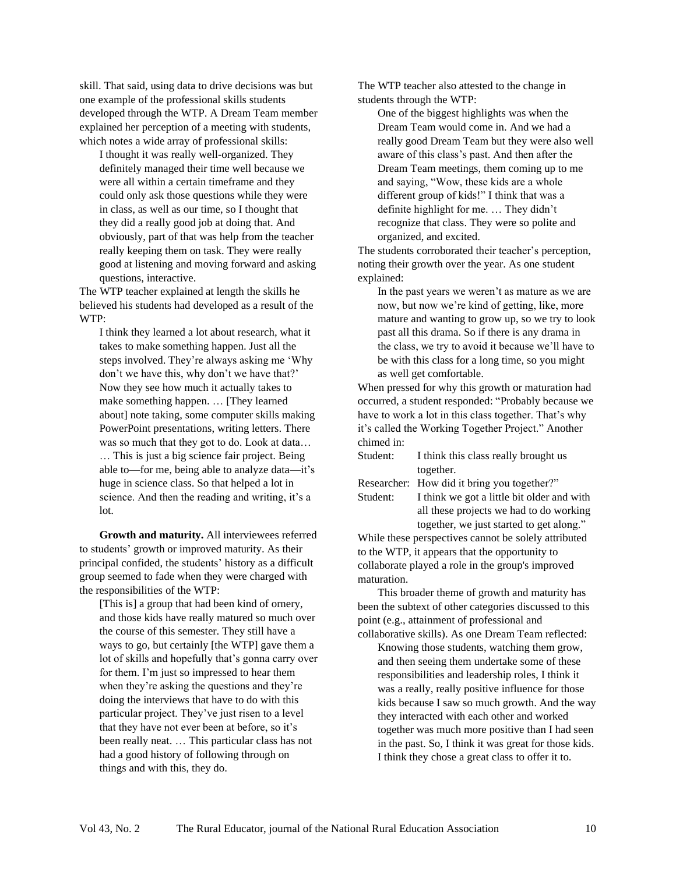skill. That said, using data to drive decisions was but one example of the professional skills students developed through the WTP. A Dream Team member explained her perception of a meeting with students, which notes a wide array of professional skills:

I thought it was really well-organized. They definitely managed their time well because we were all within a certain timeframe and they could only ask those questions while they were in class, as well as our time, so I thought that they did a really good job at doing that. And obviously, part of that was help from the teacher really keeping them on task. They were really good at listening and moving forward and asking questions, interactive.

The WTP teacher explained at length the skills he believed his students had developed as a result of the WTP:

I think they learned a lot about research, what it takes to make something happen. Just all the steps involved. They're always asking me 'Why don't we have this, why don't we have that?' Now they see how much it actually takes to make something happen. … [They learned about] note taking, some computer skills making PowerPoint presentations, writing letters. There was so much that they got to do. Look at data… … This is just a big science fair project. Being able to—for me, being able to analyze data—it's huge in science class. So that helped a lot in science. And then the reading and writing, it's a lot.

**Growth and maturity.** All interviewees referred to students' growth or improved maturity. As their principal confided, the students' history as a difficult group seemed to fade when they were charged with the responsibilities of the WTP:

[This is] a group that had been kind of ornery, and those kids have really matured so much over the course of this semester. They still have a ways to go, but certainly [the WTP] gave them a lot of skills and hopefully that's gonna carry over for them. I'm just so impressed to hear them when they're asking the questions and they're doing the interviews that have to do with this particular project. They've just risen to a level that they have not ever been at before, so it's been really neat. … This particular class has not had a good history of following through on things and with this, they do.

The WTP teacher also attested to the change in students through the WTP:

One of the biggest highlights was when the Dream Team would come in. And we had a really good Dream Team but they were also well aware of this class's past. And then after the Dream Team meetings, them coming up to me and saying, "Wow, these kids are a whole different group of kids!" I think that was a definite highlight for me. … They didn't recognize that class. They were so polite and organized, and excited.

The students corroborated their teacher's perception, noting their growth over the year. As one student explained:

In the past years we weren't as mature as we are now, but now we're kind of getting, like, more mature and wanting to grow up, so we try to look past all this drama. So if there is any drama in the class, we try to avoid it because we'll have to be with this class for a long time, so you might as well get comfortable.

When pressed for why this growth or maturation had occurred, a student responded: "Probably because we have to work a lot in this class together. That's why it's called the Working Together Project." Another chimed in:

Student: I think this class really brought us together.

Researcher: How did it bring you together?"

Student: I think we got a little bit older and with all these projects we had to do working together, we just started to get along."

While these perspectives cannot be solely attributed to the WTP, it appears that the opportunity to collaborate played a role in the group's improved maturation.

This broader theme of growth and maturity has been the subtext of other categories discussed to this point (e.g., attainment of professional and collaborative skills). As one Dream Team reflected:

Knowing those students, watching them grow, and then seeing them undertake some of these responsibilities and leadership roles, I think it was a really, really positive influence for those kids because I saw so much growth. And the way they interacted with each other and worked together was much more positive than I had seen in the past. So, I think it was great for those kids. I think they chose a great class to offer it to.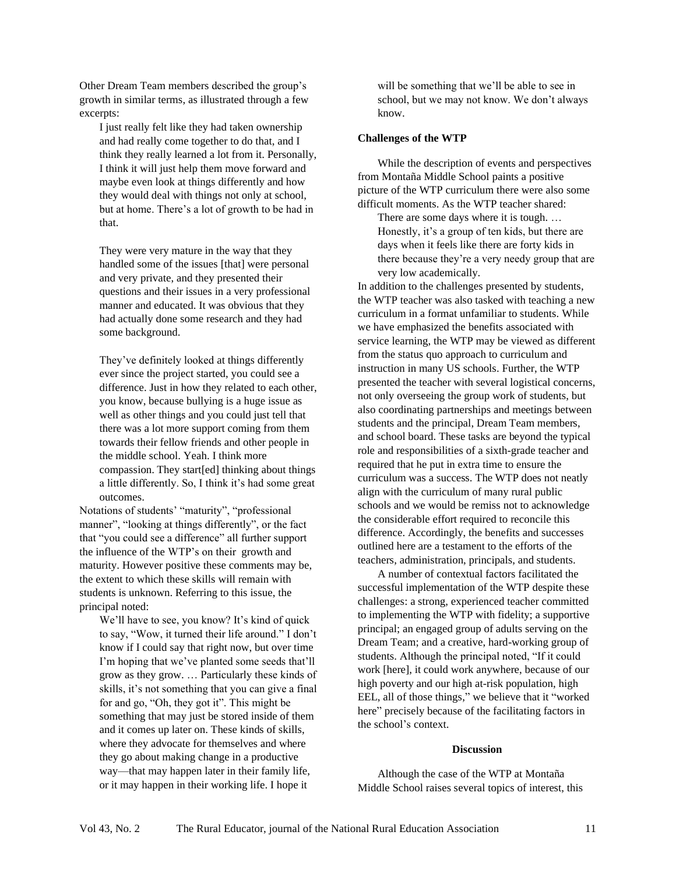Other Dream Team members described the group's growth in similar terms, as illustrated through a few excerpts:

I just really felt like they had taken ownership and had really come together to do that, and I think they really learned a lot from it. Personally, I think it will just help them move forward and maybe even look at things differently and how they would deal with things not only at school, but at home. There's a lot of growth to be had in that.

They were very mature in the way that they handled some of the issues [that] were personal and very private, and they presented their questions and their issues in a very professional manner and educated. It was obvious that they had actually done some research and they had some background.

They've definitely looked at things differently ever since the project started, you could see a difference. Just in how they related to each other, you know, because bullying is a huge issue as well as other things and you could just tell that there was a lot more support coming from them towards their fellow friends and other people in the middle school. Yeah. I think more compassion. They start[ed] thinking about things a little differently. So, I think it's had some great outcomes.

Notations of students' "maturity", "professional manner", "looking at things differently", or the fact that "you could see a difference" all further support the influence of the WTP's on their growth and maturity. However positive these comments may be, the extent to which these skills will remain with students is unknown. Referring to this issue, the principal noted:

We'll have to see, you know? It's kind of quick to say, "Wow, it turned their life around." I don't know if I could say that right now, but over time I'm hoping that we've planted some seeds that'll grow as they grow. … Particularly these kinds of skills, it's not something that you can give a final for and go, "Oh, they got it". This might be something that may just be stored inside of them and it comes up later on. These kinds of skills, where they advocate for themselves and where they go about making change in a productive way—that may happen later in their family life, or it may happen in their working life. I hope it

will be something that we'll be able to see in school, but we may not know. We don't always know.

#### **Challenges of the WTP**

While the description of events and perspectives from Montaña Middle School paints a positive picture of the WTP curriculum there were also some difficult moments. As the WTP teacher shared:

There are some days where it is tough. … Honestly, it's a group of ten kids, but there are days when it feels like there are forty kids in there because they're a very needy group that are very low academically.

In addition to the challenges presented by students, the WTP teacher was also tasked with teaching a new curriculum in a format unfamiliar to students. While we have emphasized the benefits associated with service learning, the WTP may be viewed as different from the status quo approach to curriculum and instruction in many US schools. Further, the WTP presented the teacher with several logistical concerns, not only overseeing the group work of students, but also coordinating partnerships and meetings between students and the principal, Dream Team members, and school board. These tasks are beyond the typical role and responsibilities of a sixth-grade teacher and required that he put in extra time to ensure the curriculum was a success. The WTP does not neatly align with the curriculum of many rural public schools and we would be remiss not to acknowledge the considerable effort required to reconcile this difference. Accordingly, the benefits and successes outlined here are a testament to the efforts of the teachers, administration, principals, and students.

A number of contextual factors facilitated the successful implementation of the WTP despite these challenges: a strong, experienced teacher committed to implementing the WTP with fidelity; a supportive principal; an engaged group of adults serving on the Dream Team; and a creative, hard-working group of students. Although the principal noted, "If it could work [here], it could work anywhere, because of our high poverty and our high at-risk population, high EEL, all of those things," we believe that it "worked here" precisely because of the facilitating factors in the school's context.

#### **Discussion**

Although the case of the WTP at Montaña Middle School raises several topics of interest, this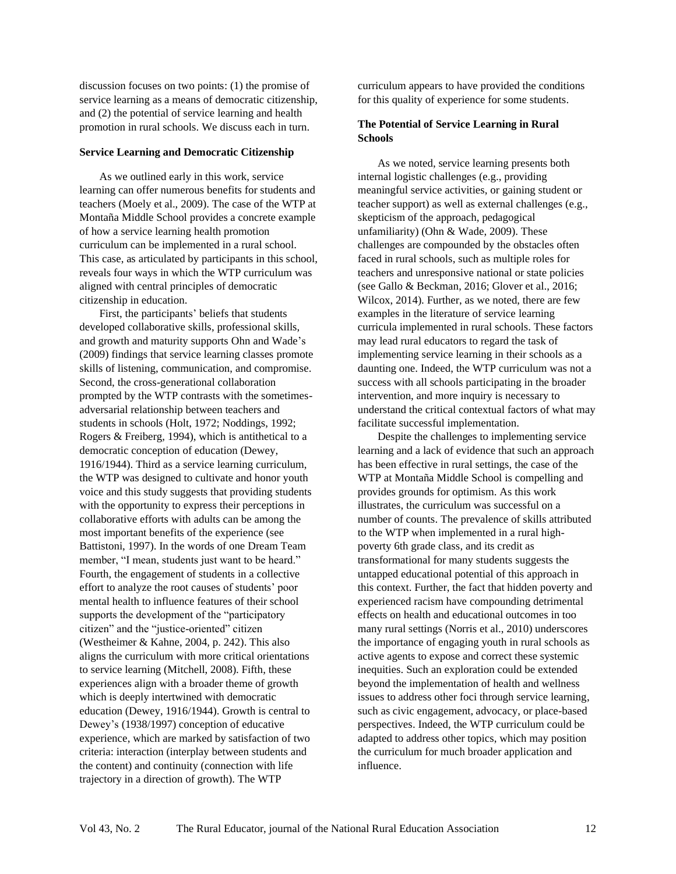discussion focuses on two points: (1) the promise of service learning as a means of democratic citizenship, and (2) the potential of service learning and health promotion in rural schools. We discuss each in turn.

#### **Service Learning and Democratic Citizenship**

As we outlined early in this work, service learning can offer numerous benefits for students and teachers (Moely et al., 2009). The case of the WTP at Montaña Middle School provides a concrete example of how a service learning health promotion curriculum can be implemented in a rural school. This case, as articulated by participants in this school, reveals four ways in which the WTP curriculum was aligned with central principles of democratic citizenship in education.

First, the participants' beliefs that students developed collaborative skills, professional skills, and growth and maturity supports Ohn and Wade's (2009) findings that service learning classes promote skills of listening, communication, and compromise. Second, the cross-generational collaboration prompted by the WTP contrasts with the sometimesadversarial relationship between teachers and students in schools (Holt, 1972; Noddings, 1992; Rogers & Freiberg, 1994), which is antithetical to a democratic conception of education (Dewey, 1916/1944). Third as a service learning curriculum, the WTP was designed to cultivate and honor youth voice and this study suggests that providing students with the opportunity to express their perceptions in collaborative efforts with adults can be among the most important benefits of the experience (see Battistoni, 1997). In the words of one Dream Team member, "I mean, students just want to be heard." Fourth, the engagement of students in a collective effort to analyze the root causes of students' poor mental health to influence features of their school supports the development of the "participatory citizen" and the "justice-oriented" citizen (Westheimer & Kahne, 2004, p. 242). This also aligns the curriculum with more critical orientations to service learning (Mitchell, 2008). Fifth, these experiences align with a broader theme of growth which is deeply intertwined with democratic education (Dewey, 1916/1944). Growth is central to Dewey's (1938/1997) conception of educative experience, which are marked by satisfaction of two criteria: interaction (interplay between students and the content) and continuity (connection with life trajectory in a direction of growth). The WTP

curriculum appears to have provided the conditions for this quality of experience for some students.

#### **The Potential of Service Learning in Rural Schools**

As we noted, service learning presents both internal logistic challenges (e.g., providing meaningful service activities, or gaining student or teacher support) as well as external challenges (e.g., skepticism of the approach, pedagogical unfamiliarity) (Ohn & Wade, 2009). These challenges are compounded by the obstacles often faced in rural schools, such as multiple roles for teachers and unresponsive national or state policies (see Gallo & Beckman, 2016; Glover et al., 2016; Wilcox, 2014). Further, as we noted, there are few examples in the literature of service learning curricula implemented in rural schools. These factors may lead rural educators to regard the task of implementing service learning in their schools as a daunting one. Indeed, the WTP curriculum was not a success with all schools participating in the broader intervention, and more inquiry is necessary to understand the critical contextual factors of what may facilitate successful implementation.

Despite the challenges to implementing service learning and a lack of evidence that such an approach has been effective in rural settings, the case of the WTP at Montaña Middle School is compelling and provides grounds for optimism. As this work illustrates, the curriculum was successful on a number of counts. The prevalence of skills attributed to the WTP when implemented in a rural highpoverty 6th grade class, and its credit as transformational for many students suggests the untapped educational potential of this approach in this context. Further, the fact that hidden poverty and experienced racism have compounding detrimental effects on health and educational outcomes in too many rural settings (Norris et al., 2010) underscores the importance of engaging youth in rural schools as active agents to expose and correct these systemic inequities. Such an exploration could be extended beyond the implementation of health and wellness issues to address other foci through service learning, such as civic engagement, advocacy, or place-based perspectives. Indeed, the WTP curriculum could be adapted to address other topics, which may position the curriculum for much broader application and influence.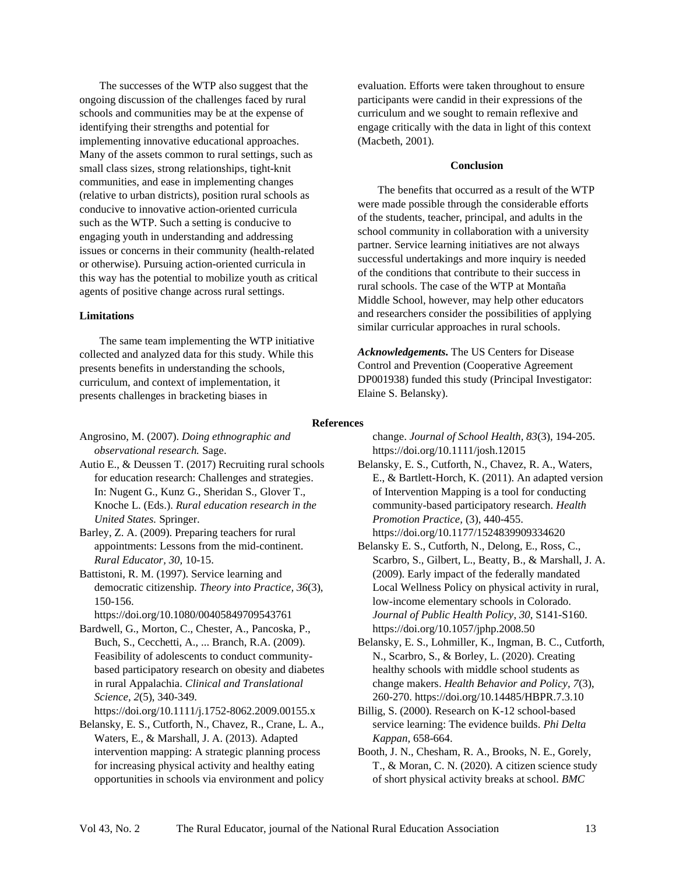The successes of the WTP also suggest that the ongoing discussion of the challenges faced by rural schools and communities may be at the expense of identifying their strengths and potential for implementing innovative educational approaches. Many of the assets common to rural settings, such as small class sizes, strong relationships, tight-knit communities, and ease in implementing changes (relative to urban districts), position rural schools as conducive to innovative action-oriented curricula such as the WTP. Such a setting is conducive to engaging youth in understanding and addressing issues or concerns in their community (health-related or otherwise). Pursuing action-oriented curricula in this way has the potential to mobilize youth as critical agents of positive change across rural settings.

#### **Limitations**

The same team implementing the WTP initiative collected and analyzed data for this study. While this presents benefits in understanding the schools, curriculum, and context of implementation, it presents challenges in bracketing biases in

evaluation. Efforts were taken throughout to ensure participants were candid in their expressions of the curriculum and we sought to remain reflexive and engage critically with the data in light of this context (Macbeth, 2001).

#### **Conclusion**

The benefits that occurred as a result of the WTP were made possible through the considerable efforts of the students, teacher, principal, and adults in the school community in collaboration with a university partner. Service learning initiatives are not always successful undertakings and more inquiry is needed of the conditions that contribute to their success in rural schools. The case of the WTP at Montaña Middle School, however, may help other educators and researchers consider the possibilities of applying similar curricular approaches in rural schools.

*Acknowledgements.* The US Centers for Disease Control and Prevention (Cooperative Agreement DP001938) funded this study (Principal Investigator: Elaine S. Belansky).

#### **References**

Angrosino, M. (2007). *Doing ethnographic and observational research.* Sage.

Autio E., & Deussen T. (2017) Recruiting rural schools for education research: Challenges and strategies. In: Nugent G., Kunz G., Sheridan S., Glover T., Knoche L. (Eds.). *Rural education research in the United States.* Springer.

Barley, Z. A. (2009). Preparing teachers for rural appointments: Lessons from the mid-continent. *Rural Educator, 30,* 10-15.

Battistoni, R. M. (1997). Service learning and democratic citizenship. *Theory into Practice, 36*(3), 150-156.

<https://doi.org/10.1080/00405849709543761>

Bardwell, G., Morton, C., Chester, A., Pancoska, P., Buch, S., Cecchetti, A., ... Branch, R.A. (2009). Feasibility of adolescents to conduct communitybased participatory research on obesity and diabetes in rural Appalachia. *Clinical and Translational Science, 2*(5), 340-349.

<https://doi.org/10.1111/j.1752-8062.2009.00155.x> Belansky, E. S., Cutforth, N., Chavez, R., Crane, L. A.,

Waters, E., & Marshall, J. A. (2013). Adapted intervention mapping: A strategic planning process for increasing physical activity and healthy eating opportunities in schools via environment and policy change. *Journal of School Health, 83*(3)*,* 194-205. <https://doi.org/10.1111/josh.12015>

- Belansky, E. S., Cutforth, N., Chavez, R. A., Waters, E., & Bartlett-Horch, K. (2011). An adapted version of Intervention Mapping is a tool for conducting community-based participatory research. *Health Promotion Practice,* (3), 440-455. <https://doi.org/10.1177/1524839909334620>
- Belansky E. S., Cutforth, N., Delong, E., Ross, C., Scarbro, S., Gilbert, L., Beatty, B., & Marshall, J. A. (2009). Early impact of the federally mandated Local Wellness Policy on physical activity in rural, low-income elementary schools in Colorado. *Journal of Public Health Policy*, *30*, S141-S160. <https://doi.org/10.1057/jphp.2008.50>

Belansky, E. S., Lohmiller, K., Ingman, B. C., Cutforth, N., Scarbro, S., & Borley, L. (2020). Creating healthy schools with middle school students as change makers. *Health Behavior and Policy, 7*(3), 260-270. <https://doi.org/10.14485/HBPR.7.3.10>

- Billig, S. (2000). Research on K-12 school-based service learning: The evidence builds. *Phi Delta Kappan,* 658-664.
- Booth, J. N., Chesham, R. A., Brooks, N. E., Gorely, T., & Moran, C. N. (2020). A citizen science study of short physical activity breaks at school. *BMC*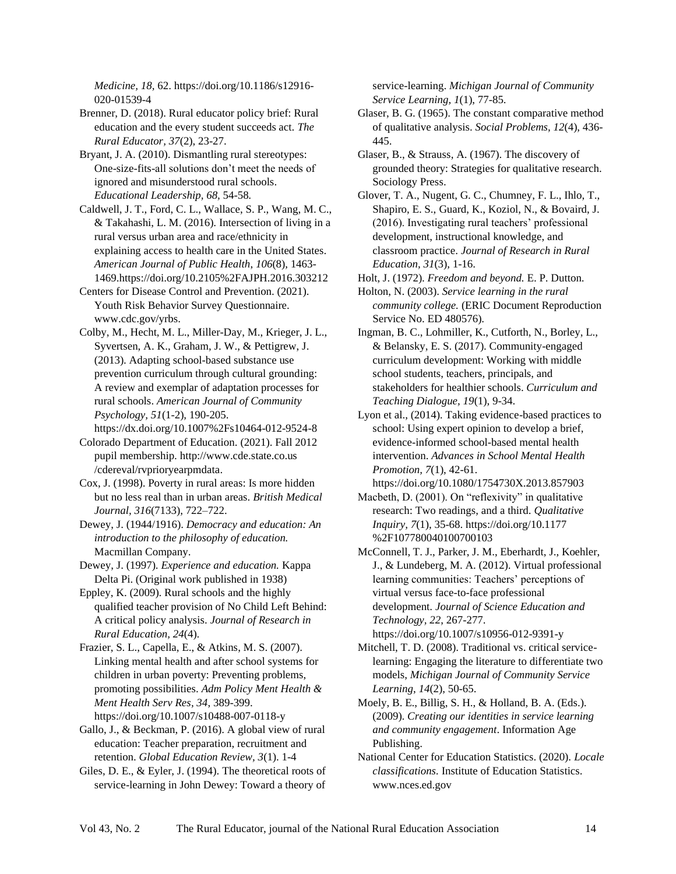*Medicine, 18,* 62. [https://doi.org/10.1186/s12916-](https://doi.org/10.1186/s12916-020-01539-4) [020-01539-4](https://doi.org/10.1186/s12916-020-01539-4)

Brenner, D. (2018). Rural educator policy brief: Rural education and the every student succeeds act. *The Rural Educator, 37*(2), 23-27.

Bryant, J. A. (2010). Dismantling rural stereotypes: One-size-fits-all solutions don't meet the needs of ignored and misunderstood rural schools. *Educational Leadership, 68,* 54-58*.*

Caldwell, J. T., Ford, C. L., Wallace, S. P., Wang, M. C., & Takahashi, L. M. (2016). Intersection of living in a rural versus urban area and race/ethnicity in explaining access to health care in the United States. *American Journal of Public Health*, *106*(8), 1463- 1469[.https://doi.org/10.2105%2FAJPH.2016.303212](https://doi.org/10.2105%2FAJPH.2016.303212)

Centers for Disease Control and Prevention. (2021). Youth Risk Behavior Survey Questionnaire. www.cdc.gov/yrbs.

Colby, M., Hecht, M. L., Miller-Day, M., Krieger, J. L., Syvertsen, A. K., Graham, J. W., & Pettigrew, J. (2013). Adapting school-based substance use prevention curriculum through cultural grounding: A review and exemplar of adaptation processes for rural schools. *American Journal of Community Psychology, 51*(1-2), 190-205.

<https://dx.doi.org/10.1007%2Fs10464-012-9524-8>

Colorado Department of Education. (2021). Fall 2012 pupil membership. [http://www.cde.state.co.us](http://www.cde.state.co.us/cdereval/rvprioryearpmdata) [/cdereval/rvprioryearpmdata.](http://www.cde.state.co.us/cdereval/rvprioryearpmdata)

Cox, J. (1998). Poverty in rural areas: Is more hidden but no less real than in urban areas. *British Medical Journal, 316*(7133), 722–722.

Dewey, J. (1944/1916). *Democracy and education: An introduction to the philosophy of education.* Macmillan Company.

Dewey, J. (1997). *Experience and education.* Kappa Delta Pi. (Original work published in 1938)

Eppley, K. (2009). Rural schools and the highly qualified teacher provision of No Child Left Behind: A critical policy analysis. *Journal of Research in Rural Education, 24*(4).

Frazier, S. L., Capella, E., & Atkins, M. S. (2007). Linking mental health and after school systems for children in urban poverty: Preventing problems, promoting possibilities. *Adm Policy Ment Health & Ment Health Serv Res, 34*, 389-399. <https://doi.org/10.1007/s10488-007-0118-y>

Gallo, J., & Beckman, P. (2016). A global view of rural education: Teacher preparation, recruitment and retention. *Global Education Review, 3*(1). 1-4

Giles, D. E., & Eyler, J. (1994). The theoretical roots of service-learning in John Dewey: Toward a theory of

service-learning. *Michigan Journal of Community Service Learning, 1*(1), 77-85.

Glaser, B. G. (1965). The constant comparative method of qualitative analysis. *Social Problems, 12*(4), 436- 445.

Glaser, B., & Strauss, A. (1967). The discovery of grounded theory: Strategies for qualitative research. Sociology Press.

Glover, T. A., Nugent, G. C., Chumney, F. L., Ihlo, T., Shapiro, E. S., Guard, K., Koziol, N., & Bovaird, J. (2016). Investigating rural teachers' professional development, instructional knowledge, and classroom practice. *Journal of Research in Rural Education, 31*(3), 1-16.

Holt, J. (1972). *Freedom and beyond.* E. P. Dutton.

Holton, N. (2003). *Service learning in the rural community college.* (ERIC Document Reproduction Service No. ED 480576).

Ingman, B. C., Lohmiller, K., Cutforth, N., Borley, L., & Belansky, E. S. (2017). Community-engaged curriculum development: Working with middle school students, teachers, principals, and stakeholders for healthier schools. *Curriculum and Teaching Dialogue, 19*(1), 9-34.

Lyon et al., (2014). Taking evidence-based practices to school: Using expert opinion to develop a brief, evidence-informed school-based mental health intervention. *Advances in School Mental Health Promotion, 7*(1), 42-61.

<https://doi.org/10.1080/1754730X.2013.857903> Macbeth, D. (2001). On "reflexivity" in qualitative research: Two readings, and a third. *Qualitative* 

*Inquiry, 7*(1), 35-68. [https://doi.org/10.1177](https://doi.org/10.1177%2F107780040100700103) [%2F107780040100700103](https://doi.org/10.1177%2F107780040100700103)

McConnell, T. J., Parker, J. M., Eberhardt, J., Koehler, J., & Lundeberg, M. A. (2012). Virtual professional learning communities: Teachers' perceptions of virtual versus face-to-face professional development. *Journal of Science Education and Technology, 22*, 267-277.

<https://doi.org/10.1007/s10956-012-9391-y> Mitchell, T. D. (2008). Traditional vs. critical servicelearning: Engaging the literature to differentiate two models, *Michigan Journal of Community Service Learning*, *14*(2), 50-65.

Moely, B. E., Billig, S. H., & Holland, B. A. (Eds.). (2009). *Creating our identities in service learning and community engagement*. Information Age Publishing.

National Center for Education Statistics. (2020). *Locale classifications.* Institute of Education Statistics. [www.nces.ed.gov](http://www.nces.ed.gov/)